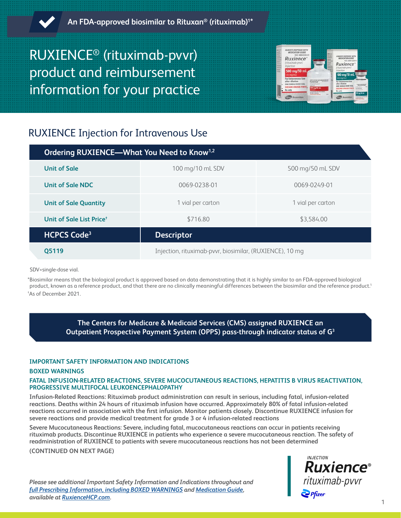

# RUXIENCE® (rituximab-pvvr) product and reimbursement information for your practice



# RUXIENCE Injection for Intravenous Use

| Ordering RUXIENCE-What You Need to Know <sup>1,2</sup> |                                                          |                   |
|--------------------------------------------------------|----------------------------------------------------------|-------------------|
| <b>Unit of Sale</b>                                    | 100 mg/10 mL SDV                                         | 500 mg/50 mL SDV  |
| Unit of Sale NDC                                       | 0069-0238-01                                             | 0069-0249-01      |
| <b>Unit of Sale Quantity</b>                           | 1 vial per carton                                        | 1 vial per carton |
| Unit of Sale List Price <sup>+</sup>                   | \$716.80                                                 | \$3,584.00        |
| <b>HCPCS Code<sup>3</sup></b>                          | <b>Descriptor</b>                                        |                   |
| 05119                                                  | Injection, rituximab-pvvr, biosimilar, (RUXIENCE), 10 mg |                   |

SDV=single-dose vial.

\*Biosimilar means that the biological product is approved based on data demonstrating that it is highly similar to an FDA-approved biological product, known as a reference product, and that there are no clinically meaningful differences between the biosimilar and the reference product.<sup>1</sup> † As of December 2021.

> **The Centers for Medicare & Medicaid Services (CMS) assigned RUXIENCE an Outpatient Prospective Payment System (OPPS) pass-through indicator status of G3**

# **IMPORTANT SAFETY INFORMATION AND INDICATIONS**

# **BOXED WARNINGS**

# **FATAL INFUSION-RELATED REACTIONS, SEVERE MUCOCUTANEOUS REACTIONS, HEPATITIS B VIRUS REACTIVATION, PROGRESSIVE MULTIFOCAL LEUKOENCEPHALOPATHY**

**Infusion-Related Reactions: Rituximab product administration can result in serious, including fatal, infusion-related reactions. Deaths within 24 hours of rituximab infusion have occurred. Approximately 80% of fatal infusion-related reactions occurred in association with the first infusion. Monitor patients closely. Discontinue RUXIENCE infusion for severe reactions and provide medical treatment for grade 3 or 4 infusion-related reactions**

**Severe Mucocutaneous Reactions: Severe, including fatal, mucocutaneous reactions can occur in patients receiving rituximab products. Discontinue RUXIENCE in patients who experience a severe mucocutaneous reaction. The safety of readministration of RUXIENCE to patients with severe mucocutaneous reactions has not been determined**

**(CONTINUED ON NEXT PAGE)**

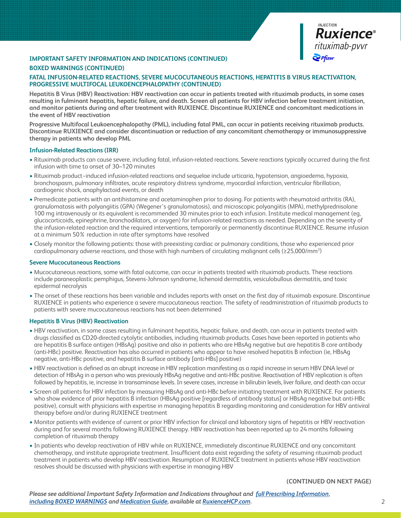

# **BOXED WARNINGS (CONTINUED)**

# **FATAL INFUSION-RELATED REACTIONS, SEVERE MUCOCUTANEOUS REACTIONS, HEPATITIS B VIRUS REACTIVATION, PROGRESSIVE MULTIFOCAL LEUKOENCEPHALOPATHY (CONTINUED)**

**Hepatitis B Virus (HBV) Reactivation: HBV reactivation can occur in patients treated with rituximab products, in some cases resulting in fulminant hepatitis, hepatic failure, and death. Screen all patients for HBV infection before treatment initiation, and monitor patients during and after treatment with RUXIENCE. Discontinue RUXIENCE and concomitant medications in the event of HBV reactivation**

**Progressive Multifocal Leukoencephalopathy (PML), including fatal PML, can occur in patients receiving rituximab products. Discontinue RUXIENCE and consider discontinuation or reduction of any concomitant chemotherapy or immunosuppressive therapy in patients who develop PML**

#### **Infusion-Related Reactions (IRR)**

- Rituximab products can cause severe, including fatal, infusion-related reactions. Severe reactions typically occurred during the first infusion with time to onset of 30–120 minutes
- Rituximab product−induced infusion-related reactions and sequelae include urticaria, hypotension, angioedema, hypoxia, bronchospasm, pulmonary infiltrates, acute respiratory distress syndrome, myocardial infarction, ventricular fibrillation, cardiogenic shock, anaphylactoid events, or death
- Premedicate patients with an antihistamine and acetaminophen prior to dosing. For patients with rheumatoid arthritis (RA), granulomatosis with polyangiitis (GPA) (Wegener's granulomatosis), and microscopic polyangiitis (MPA), methylprednisolone 100 mg intravenously or its equivalent is recommended 30 minutes prior to each infusion. Institute medical management (eg, glucocorticoids, epinephrine, bronchodilators, or oxygen) for infusion-related reactions as needed. Depending on the severity of the infusion-related reaction and the required interventions, temporarily or permanently discontinue RUXIENCE. Resume infusion at a minimum 50% reduction in rate after symptoms have resolved
- Closely monitor the following patients: those with preexisting cardiac or pulmonary conditions, those who experienced prior cardiopulmonary adverse reactions, and those with high numbers of circulating malignant cells (≥25,000/mm3 )

#### **Severe Mucocutaneous Reactions**

- Mucocutaneous reactions, some with fatal outcome, can occur in patients treated with rituximab products. These reactions include paraneoplastic pemphigus, Stevens-Johnson syndrome, lichenoid dermatitis, vesiculobullous dermatitis, and toxic epidermal necrolysis
- The onset of these reactions has been variable and includes reports with onset on the first day of rituximab exposure. Discontinue RUXIENCE in patients who experience a severe mucocutaneous reaction. The safety of readministration of rituximab products to patients with severe mucocutaneous reactions has not been determined

#### **Hepatitis B Virus (HBV) Reactivation**

- HBV reactivation, in some cases resulting in fulminant hepatitis, hepatic failure, and death, can occur in patients treated with drugs classified as CD20-directed cytolytic antibodies, including rituximab products. Cases have been reported in patients who are hepatitis B surface antigen (HBsAg) positive and also in patients who are HBsAg negative but are hepatitis B core antibody (anti-HBc) positive. Reactivation has also occurred in patients who appear to have resolved hepatitis B infection (ie, HBsAg negative, anti-HBc positive, and hepatitis B surface antibody [anti-HBs] positive)
- HBV reactivation is defined as an abrupt increase in HBV replication manifesting as a rapid increase in serum HBV DNA level or detection of HBsAg in a person who was previously HBsAg negative and anti-HBc positive. Reactivation of HBV replication is often followed by hepatitis, ie, increase in transaminase levels. In severe cases, increase in bilirubin levels, liver failure, and death can occur
- Screen all patients for HBV infection by measuring HBsAg and anti-HBc before initiating treatment with RUXIENCE. For patients who show evidence of prior hepatitis B infection (HBsAg positive [regardless of antibody status] or HBsAg negative but anti-HBc positive), consult with physicians with expertise in managing hepatitis B regarding monitoring and consideration for HBV antiviral therapy before and/or during RUXIENCE treatment
- Monitor patients with evidence of current or prior HBV infection for clinical and laboratory signs of hepatitis or HBV reactivation during and for several months following RUXIENCE therapy. HBV reactivation has been reported up to 24 months following completion of rituximab therapy
- In patients who develop reactivation of HBV while on RUXIENCE, immediately discontinue RUXIENCE and any concomitant chemotherapy, and institute appropriate treatment. Insufficient data exist regarding the safety of resuming rituximab product treatment in patients who develop HBV reactivation. Resumption of RUXIENCE treatment in patients whose HBV reactivation resolves should be discussed with physicians with expertise in managing HBV

**(CONTINUED ON NEXT PAGE)**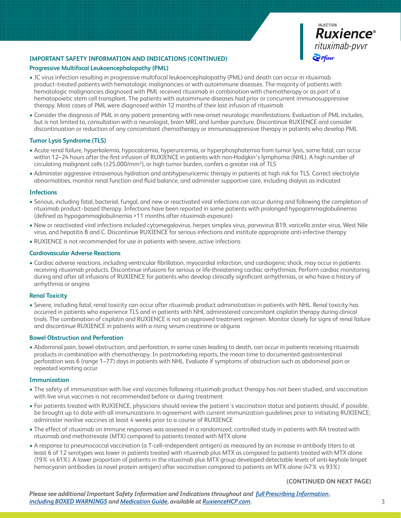

### **Progressive Multifocal Leukoencephalopathy (PML)**

- JC virus infection resulting in progressive multifocal leukoencephalopathy (PML) and death can occur in rituximab product−treated patients with hematologic malignancies or with autoimmune diseases. The majority of patients with hematologic malignancies diagnosed with PML received rituximab in combination with chemotherapy or as part of a hematopoietic stem cell transplant. The patients with autoimmune diseases had prior or concurrent immunosuppressive therapy. Most cases of PML were diagnosed within 12 months of their last infusion of rituximab
- Consider the diagnosis of PML in any patient presenting with new-onset neurologic manifestations. Evaluation of PML includes, but is not limited to, consultation with a neurologist, brain MRI, and lumbar puncture. Discontinue RUXIENCE and consider discontinuation or reduction of any concomitant chemotherapy or immunosuppressive therapy in patients who develop PML

# **Tumor Lysis Syndrome (TLS)**

- Acute renal failure, hyperkalemia, hypocalcemia, hyperuricemia, or hyperphosphatemia from tumor lysis, some fatal, can occur within 12–24 hours after the first infusion of RUXIENCE in patients with non-Hodgkin's lymphoma (NHL). A high number of circulating malignant cells (≥25,000/mm<sup>3</sup>), or high tumor burden, confers a greater risk of TLS
- Administer aggressive intravenous hydration and antihyperuricemic therapy in patients at high risk for TLS. Correct electrolyte abnormalities, monitor renal function and fluid balance, and administer supportive care, including dialysis as indicated

#### **Infections**

- Serious, including fatal, bacterial, fungal, and new or reactivated viral infections can occur during and following the completion of rituximab product−based therapy. Infections have been reported in some patients with prolonged hypogammaglobulinemia (defined as hypogammaglobulinemia >11 months after rituximab exposure)
- New or reactivated viral infections included cytomegalovirus, herpes simplex virus, parvovirus B19, varicella zoster virus, West Nile virus, and hepatitis B and C. Discontinue RUXIENCE for serious infections and institute appropriate anti-infective therapy
- RUXIENCE is not recommended for use in patients with severe, active infections

#### **Cardiovascular Adverse Reactions**

• Cardiac adverse reactions, including ventricular fibrillation, myocardial infarction, and cardiogenic shock, may occur in patients receiving rituximab products. Discontinue infusions for serious or life-threatening cardiac arrhythmias. Perform cardiac monitoring during and after all infusions of RUXIENCE for patients who develop clinically significant arrhythmias, or who have a history of arrhythmia or angina

#### **Renal Toxicity**

• Severe, including fatal, renal toxicity can occur after rituximab product administration in patients with NHL. Renal toxicity has occurred in patients who experience TLS and in patients with NHL administered concomitant cisplatin therapy during clinical trials. The combination of cisplatin and RUXIENCE is not an approved treatment regimen. Monitor closely for signs of renal failure and discontinue RUXIENCE in patients with a rising serum creatinine or oliguria

#### **Bowel Obstruction and Perforation**

• Abdominal pain, bowel obstruction, and perforation, in some cases leading to death, can occur in patients receiving rituximab products in combination with chemotherapy. In postmarketing reports, the mean time to documented gastrointestinal perforation was 6 (range 1–77) days in patients with NHL. Evaluate if symptoms of obstruction such as abdominal pain or repeated vomiting occur

#### **Immunization**

- The safety of immunization with live viral vaccines following rituximab product therapy has not been studied, and vaccination with live virus vaccines is not recommended before or during treatment
- For patients treated with RUXIENCE, physicians should review the patient's vaccination status and patients should, if possible, be brought up to date with all immunizations in agreement with current immunization guidelines prior to initiating RUXIENCE; administer nonlive vaccines at least 4 weeks prior to a course of RUXIENCE
- The effect of rituximab on immune responses was assessed in a randomized, controlled study in patients with RA treated with rituximab and methotrexate (MTX) compared to patients treated with MTX alone
- A response to pneumococcal vaccination (a T-cell–independent antigen) as measured by an increase in antibody titers to at least 6 of 12 serotypes was lower in patients treated with rituximab plus MTX as compared to patients treated with MTX alone (19% vs 61%). A lower proportion of patients in the rituximab plus MTX group developed detectable levels of anti-keyhole limpet hemocyanin antibodies (a novel protein antigen) after vaccination compared to patients on MTX alone (47% vs 93%)

#### **(CONTINUED ON NEXT PAGE)**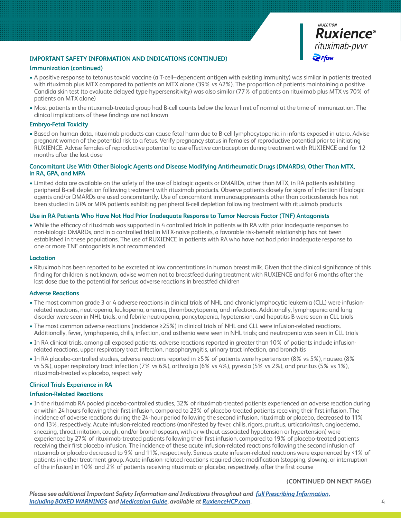

#### **Immunization (continued)**

- A positive response to tetanus toxoid vaccine (a T-cell–dependent antigen with existing immunity) was similar in patients treated with rituximab plus MTX compared to patients on MTX alone (39% vs 42%). The proportion of patients maintaining a positive Candida skin test (to evaluate delayed type hypersensitivity) was also similar (77% of patients on rituximab plus MTX vs 70% of patients on MTX alone)
- Most patients in the rituximab-treated group had B-cell counts below the lower limit of normal at the time of immunization. The clinical implications of these findings are not known

#### **Embryo-Fetal Toxicity**

• Based on human data, rituximab products can cause fetal harm due to B-cell lymphocytopenia in infants exposed in utero. Advise pregnant women of the potential risk to a fetus. Verify pregnancy status in females of reproductive potential prior to initiating RUXIENCE. Advise females of reproductive potential to use effective contraception during treatment with RUXIENCE and for 12 months after the last dose

### **Concomitant Use With Other Biologic Agents and Disease Modifying Antirheumatic Drugs (DMARDs), Other Than MTX, in RA, GPA, and MPA**

• Limited data are available on the safety of the use of biologic agents or DMARDs, other than MTX, in RA patients exhibiting peripheral B-cell depletion following treatment with rituximab products. Observe patients closely for signs of infection if biologic agents and/or DMARDs are used concomitantly. Use of concomitant immunosuppressants other than corticosteroids has not been studied in GPA or MPA patients exhibiting peripheral B-cell depletion following treatment with rituximab products

# **Use in RA Patients Who Have Not Had Prior Inadequate Response to Tumor Necrosis Factor (TNF) Antagonists**

• While the efficacy of rituximab was supported in 4 controlled trials in patients with RA with prior inadequate responses to non-biologic DMARDs, and in a controlled trial in MTX-naïve patients, a favorable risk-benefit relationship has not been established in these populations. The use of RUXIENCE in patients with RA who have not had prior inadequate response to one or more TNF antagonists is not recommended

#### **Lactation**

• Rituximab has been reported to be excreted at low concentrations in human breast milk. Given that the clinical significance of this finding for children is not known, advise women not to breastfeed during treatment with RUXIENCE and for 6 months after the last dose due to the potential for serious adverse reactions in breastfed children

#### **Adverse Reactions**

- The most common grade 3 or 4 adverse reactions in clinical trials of NHL and chronic lymphocytic leukemia (CLL) were infusionrelated reactions, neutropenia, leukopenia, anemia, thrombocytopenia, and infections. Additionally, lymphopenia and lung disorder were seen in NHL trials; and febrile neutropenia, pancytopenia, hypotension, and hepatitis B were seen in CLL trials
- The most common adverse reactions (incidence ≥25%) in clinical trials of NHL and CLL were infusion-related reactions. Additionally, fever, lymphopenia, chills, infection, and asthenia were seen in NHL trials; and neutropenia was seen in CLL trials
- In RA clinical trials, among all exposed patients, adverse reactions reported in greater than 10% of patients include infusionrelated reactions, upper respiratory tract infection, nasopharyngitis, urinary tract infection, and bronchitis
- In RA placebo-controlled studies, adverse reactions reported in ≥5% of patients were hypertension (8% vs 5%), nausea (8% vs 5%), upper respiratory tract infection (7% vs 6%), arthralgia (6% vs 4%), pyrexia (5% vs 2%), and pruritus (5% vs 1%), rituximab-treated vs placebo, respectively

#### **Clinical Trials Experience in RA**

#### **Infusion-Related Reactions**

• In the rituximab RA pooled placebo-controlled studies, 32% of rituximab-treated patients experienced an adverse reaction during or within 24 hours following their first infusion, compared to 23% of placebo-treated patients receiving their first infusion. The incidence of adverse reactions during the 24-hour period following the second infusion, rituximab or placebo, decreased to 11% and 13%, respectively. Acute infusion-related reactions (manifested by fever, chills, rigors, pruritus, urticaria/rash, angioedema, sneezing, throat irritation, cough, and/or bronchospasm, with or without associated hypotension or hypertension) were experienced by 27% of rituximab-treated patients following their first infusion, compared to 19% of placebo-treated patients receiving their first placebo infusion. The incidence of these acute infusion-related reactions following the second infusion of rituximab or placebo decreased to 9% and 11%, respectively. Serious acute infusion-related reactions were experienced by <1% of patients in either treatment group. Acute infusion-related reactions required dose modification (stopping, slowing, or interruption of the infusion) in 10% and 2% of patients receiving rituximab or placebo, respectively, after the first course

#### **(CONTINUED ON NEXT PAGE)**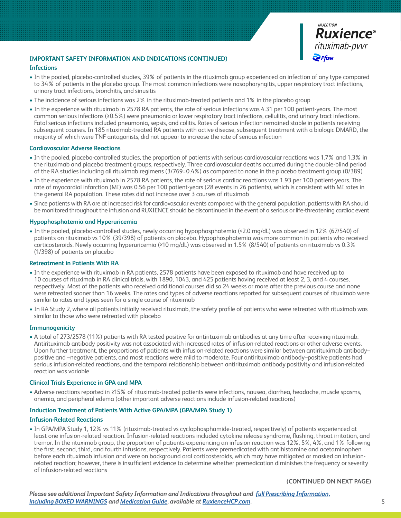

#### **Infections**

- In the pooled, placebo-controlled studies, 39% of patients in the rituximab group experienced an infection of any type compared to 34% of patients in the placebo group. The most common infections were nasopharyngitis, upper respiratory tract infections, urinary tract infections, bronchitis, and sinusitis
- The incidence of serious infections was 2% in the rituximab-treated patients and 1% in the placebo group
- In the experience with rituximab in 2578 RA patients, the rate of serious infections was 4.31 per 100 patient-years. The most common serious infections (≥0.5%) were pneumonia or lower respiratory tract infections, cellulitis, and urinary tract infections. Fatal serious infections included pneumonia, sepsis, and colitis. Rates of serious infection remained stable in patients receiving subsequent courses. In 185 rituximab-treated RA patients with active disease, subsequent treatment with a biologic DMARD, the majority of which were TNF antagonists, did not appear to increase the rate of serious infection

#### **Cardiovascular Adverse Reactions**

- In the pooled, placebo-controlled studies, the proportion of patients with serious cardiovascular reactions was 1.7% and 1.3% in the rituximab and placebo treatment groups, respectively. Three cardiovascular deaths occurred during the double-blind period of the RA studies including all rituximab regimens (3/769=0.4%) as compared to none in the placebo treatment group (0/389)
- In the experience with rituximab in 2578 RA patients, the rate of serious cardiac reactions was 1.93 per 100 patient-years. The rate of myocardial infarction (MI) was 0.56 per 100 patient-years (28 events in 26 patients), which is consistent with MI rates in the general RA population. These rates did not increase over 3 courses of rituximab
- Since patients with RA are at increased risk for cardiovascular events compared with the general population, patients with RA should be monitored throughout the infusion and RUXIENCE should be discontinued in the event of a serious or life-threatening cardiac event

#### **Hypophosphatemia and Hyperuricemia**

• In the pooled, placebo-controlled studies, newly occurring hypophosphatemia (<2.0 mg/dL) was observed in 12% (67/540) of patients on rituximab vs 10% (39/398) of patients on placebo. Hypophosphatemia was more common in patients who received corticosteroids. Newly occurring hyperuricemia (>10 mg/dL) was observed in 1.5% (8/540) of patients on rituximab vs 0.3% (1/398) of patients on placebo

#### **Retreatment in Patients With RA**

- In the experience with rituximab in RA patients, 2578 patients have been exposed to rituximab and have received up to 10 courses of rituximab in RA clinical trials, with 1890, 1043, and 425 patients having received at least 2, 3, and 4 courses, respectively. Most of the patients who received additional courses did so 24 weeks or more after the previous course and none were retreated sooner than 16 weeks. The rates and types of adverse reactions reported for subsequent courses of rituximab were similar to rates and types seen for a single course of rituximab
- In RA Study 2, where all patients initially received rituximab, the safety profile of patients who were retreated with rituximab was similar to those who were retreated with placebo

#### **Immunogenicity**

• A total of 273/2578 (11%) patients with RA tested positive for antirituximab antibodies at any time after receiving rituximab. Antirituximab antibody positivity was not associated with increased rates of infusion-related reactions or other adverse events. Upon further treatment, the proportions of patients with infusion-related reactions were similar between antirituximab antibody– positive and –negative patients, and most reactions were mild to moderate. Four antirituximab antibody–positive patients had serious infusion-related reactions, and the temporal relationship between antirituximab antibody positivity and infusion-related reaction was variable

#### **Clinical Trials Experience in GPA and MPA**

• Adverse reactions reported in ≥15% of rituximab-treated patients were infections, nausea, diarrhea, headache, muscle spasms, anemia, and peripheral edema (other important adverse reactions include infusion-related reactions)

#### **Induction Treatment of Patients With Active GPA/MPA (GPA/MPA Study 1)**

#### **Infusion-Related Reactions**

• In GPA/MPA Study 1, 12% vs 11% (rituximab-treated vs cyclophosphamide-treated, respectively) of patients experienced at least one infusion-related reaction. Infusion-related reactions included cytokine release syndrome, flushing, throat irritation, and tremor. In the rituximab group, the proportion of patients experiencing an infusion reaction was 12%, 5%, 4%, and 1% following the first, second, third, and fourth infusions, respectively. Patients were premedicated with antihistamine and acetaminophen before each rituximab infusion and were on background oral corticosteroids, which may have mitigated or masked an infusionrelated reaction; however, there is insufficient evidence to determine whether premedication diminishes the frequency or severity of infusion-related reactions

#### **(CONTINUED ON NEXT PAGE)**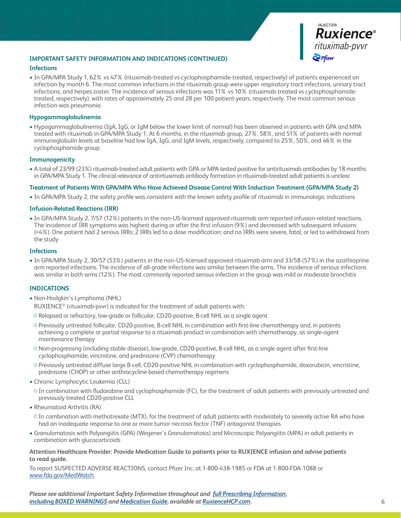

#### **Infections**

• In GPA/MPA Study 1, 62% vs 47% (rituximab-treated vs cyclophosphamide-treated, respectively) of patients experienced an infection by month 6. The most common infections in the rituximab group were upper respiratory tract infections, urinary tract infections, and herpes zoster. The incidence of serious infections was 11% vs 10% (rituximab-treated vs cyclophosphamidetreated, respectively), with rates of approximately 25 and 28 per 100 patient-years, respectively. The most common serious infection was pneumonia

#### **Hypogammaglobulinemia**

• Hypogammaglobulinemia (IgA, IgG, or IgM below the lower limit of normal) has been observed in patients with GPA and MPA treated with rituximab in GPA/MPA Study 1. At 6 months, in the rituximab group, 27%, 58%, and 51% of patients with normal immunoglobulin levels at baseline had low IgA, IgG, and IgM levels, respectively, compared to 25%, 50%, and 46% in the cyclophosphamide group

# **Immunogenicity**

• A total of 23/99 (23%) rituximab-treated adult patients with GPA or MPA tested positive for antirituximab antibodies by 18 months in GPA/MPA Study 1. The clinical relevance of antirituximab antibody formation in rituximab-treated adult patients is unclear

# **Treatment of Patients With GPA/MPA Who Have Achieved Disease Control With Induction Treatment (GPA/MPA Study 2)**

• In GPA/MPA Study 2, the safety profile was consistent with the known safety profile of rituximab in immunologic indications

# **Infusion-Related Reactions (IRR)**

• In GPA/MPA Study 2, 7/57 (12%) patients in the non-US-licensed approved rituximab arm reported infusion-related reactions. The incidence of IRR symptoms was highest during or after the first infusion (9%) and decreased with subsequent infusions (<4%). One patient had 2 serious IRRs; 2 IRRs led to a dose modification; and no IRRs were severe, fatal, or led to withdrawal from the study

#### **Infections**

• In GPA/MPA Study 2, 30/57 (53%) patients in the non-US-licensed approved rituximab arm and 33/58 (57%) in the azathioprine arm reported infections. The incidence of all-grade infections was similar between the arms. The incidence of serious infections was similar in both arms (12%). The most commonly reported serious infection in the group was mild or moderate bronchitis

#### **INDICATIONS**

- Non-Hodgkin's Lymphoma (NHL)
	- RUXIENCE® (rituximab-pvvr) is indicated for the treatment of adult patients with:
- Relapsed or refractory, low-grade or follicular, CD20-positive, B-cell NHL as a single agent
- Previously untreated follicular, CD20-positive, B-cell NHL in combination with first-line chemotherapy and, in patients achieving a complete or partial response to a rituximab product in combination with chemotherapy, as single-agent maintenance therapy
- Non-progressing (including stable disease), low-grade, CD20-positive, B-cell NHL, as a single agent after first-line cyclophosphamide, vincristine, and prednisone (CVP) chemotherapy
- Previously untreated diffuse large B-cell, CD20-positive NHL in combination with cyclophosphamide, doxorubicin, vincristine, prednisone (CHOP) or other anthracycline-based chemotherapy regimens
- Chronic Lymphocytic Leukemia (CLL)
- In combination with fludarabine and cyclophosphamide (FC), for the treatment of adult patients with previously untreated and previously treated CD20-positive CLL
- Rheumatoid Arthritis (RA)
- In combination with methotrexate (MTX), for the treatment of adult patients with moderately to severely active RA who have had an inadequate response to one or more tumor necrosis factor (TNF) antagonist therapies
- Granulomatosis with Polyangiitis (GPA) (Wegener's Granulomatosis) and Microscopic Polyangiitis (MPA) in adult patients in combination with glucocorticoids

#### **Attention Healthcare Provider: Provide Medication Guide to patients prior to RUXIENCE infusion and advise patients to read guide.**

To report SUSPECTED ADVERSE REACTIONS, contact Pfizer Inc. at 1-800-438-1985 or FDA at 1-800-FDA-1088 or [www.fda.gov/MedWatch](https://www.fda.gov/safety/medwatch-fda-safety-information-and-adverse-event-reporting-program).